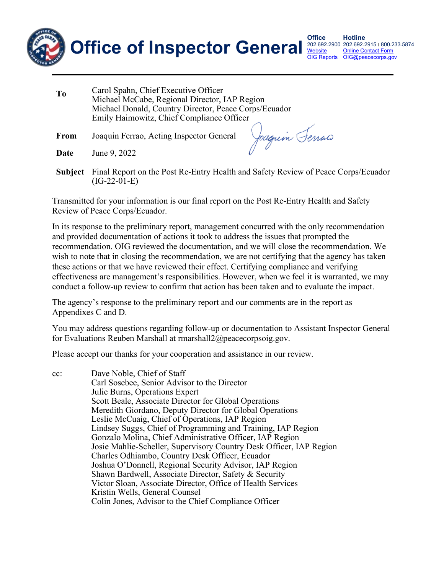

202.692.2900 202.692.2915 | 800.233.5874 **[OIG Reports](https://www.peacecorps.gov/about/inspector-general/reports/)** [Online Contact Form](https://www.peacecorps.gov/about/inspector-general/#ig_contact_form) [OIG@peacecorps.gov](mailto:OIG@peacecorps.gov)

| T <sub>0</sub> | Carol Spahn, Chief Executive Officer<br>Michael McCabe, Regional Director, IAP Region<br>Michael Donald, Country Director, Peace Corps/Ecuador<br>Emily Haimowitz, Chief Compliance Officer |                |
|----------------|---------------------------------------------------------------------------------------------------------------------------------------------------------------------------------------------|----------------|
| <b>From</b>    | Joaquin Ferrao, Acting Inspector General                                                                                                                                                    | Joaquin Ferras |

**Date** June 9, 2022

**Subject** Final Report on the Post Re-Entry Health and Safety Review of Peace Corps/Ecuador (IG-22-01-E)

Transmitted for your information is our final report on the Post Re-Entry Health and Safety Review of Peace Corps/Ecuador.

In its response to the preliminary report, management concurred with the only recommendation and provided documentation of actions it took to address the issues that prompted the recommendation. OIG reviewed the documentation, and we will close the recommendation. We wish to note that in closing the recommendation, we are not certifying that the agency has taken these actions or that we have reviewed their effect. Certifying compliance and verifying effectiveness are management's responsibilities. However, when we feel it is warranted, we may conduct a follow-up review to confirm that action has been taken and to evaluate the impact.

The agency's response to the preliminary report and our comments are in the report as Appendixes C and D.

You may address questions regarding follow-up or documentation to Assistant Inspector General for Evaluations Reuben Marshall at rmarshall2@peacecorpsoig.gov.

Please accept our thanks for your cooperation and assistance in our review.

cc: Dave Noble, Chief of Staff Carl Sosebee, Senior Advisor to the Director Julie Burns, Operations Expert Scott Beale, Associate Director for Global Operations Meredith Giordano, Deputy Director for Global Operations Leslie McCuaig, Chief of Operations, IAP Region Lindsey Suggs, Chief of Programming and Training, IAP Region Gonzalo Molina, Chief Administrative Officer, IAP Region Josie Mahlie-Scheller, Supervisory Country Desk Officer, IAP Region Charles Odhiambo, Country Desk Officer, Ecuador Joshua O'Donnell, Regional Security Advisor, IAP Region Shawn Bardwell, Associate Director, Safety & Security Victor Sloan, Associate Director, Office of Health Services Kristin Wells, General Counsel Colin Jones, Advisor to the Chief Compliance Officer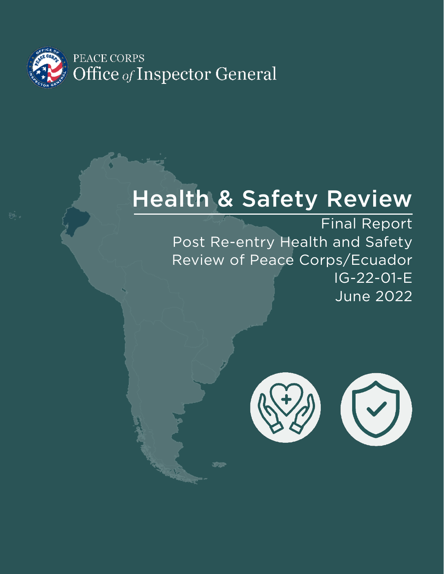

# Health & Safety Review

Final Report Post Re-entry Health and Safety Review of Peace Corps/Ecuador IG-22-01-E June 2022

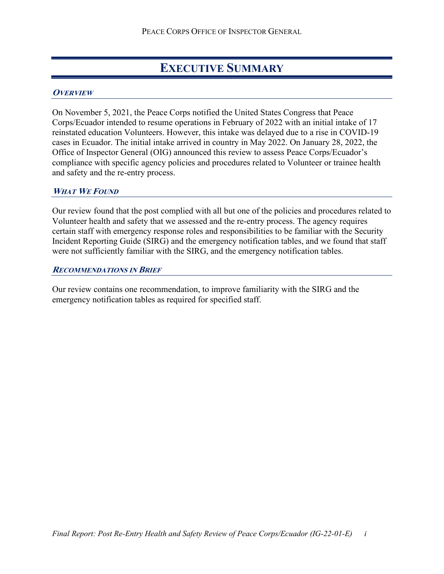### **EXECUTIVE SUMMARY**

#### <span id="page-2-1"></span><span id="page-2-0"></span>**OVERVIEW**

On November 5, 2021, the Peace Corps notified the United States Congress that Peace Corps/Ecuador intended to resume operations in February of 2022 with an initial intake of 17 reinstated education Volunteers. However, this intake was delayed due to a rise in COVID-19 cases in Ecuador. The initial intake arrived in country in May 2022. On January 28, 2022, the Office of Inspector General (OIG) announced this review to assess Peace Corps/Ecuador's compliance with specific agency policies and procedures related to Volunteer or trainee health and safety and the re-entry process.

#### <span id="page-2-2"></span>**WHAT WE FOUND**

Our review found that the post complied with all but one of the policies and procedures related to Volunteer health and safety that we assessed and the re-entry process. The agency requires certain staff with emergency response roles and responsibilities to be familiar with the Security Incident Reporting Guide (SIRG) and the emergency notification tables, and we found that staff were not sufficiently familiar with the SIRG, and the emergency notification tables.

#### <span id="page-2-3"></span>**RECOMMENDATIONS IN BRIEF**

Our review contains one recommendation, to improve familiarity with the SIRG and the emergency notification tables as required for specified staff.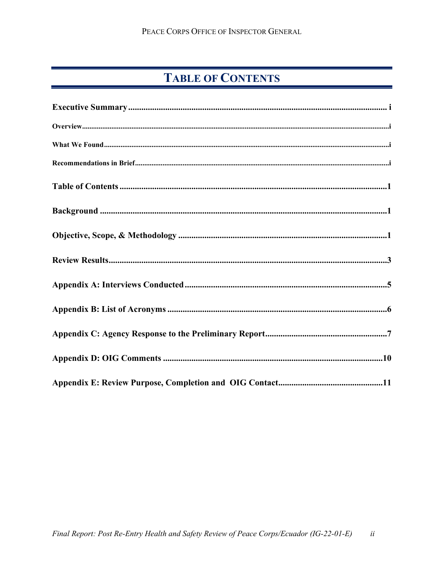### **TABLE OF CONTENTS**

<span id="page-3-0"></span>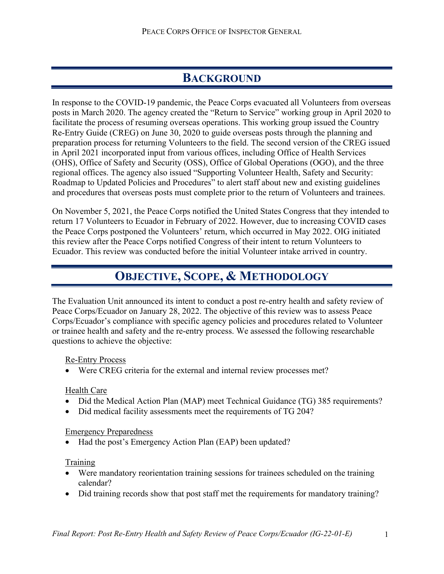### **BACKGROUND**

<span id="page-4-0"></span>In response to the COVID-19 pandemic, the Peace Corps evacuated all Volunteers from overseas posts in March 2020. The agency created the "Return to Service" working group in April 2020 to facilitate the process of resuming overseas operations. This working group issued the Country Re-Entry Guide (CREG) on June 30, 2020 to guide overseas posts through the planning and preparation process for returning Volunteers to the field. The second version of the CREG issued in April 2021 incorporated input from various offices, including Office of Health Services (OHS), Office of Safety and Security (OSS), Office of Global Operations (OGO), and the three regional offices. The agency also issued "Supporting Volunteer Health, Safety and Security: Roadmap to Updated Policies and Procedures" to alert staff about new and existing guidelines and procedures that overseas posts must complete prior to the return of Volunteers and trainees.

On November 5, 2021, the Peace Corps notified the United States Congress that they intended to return 17 Volunteers to Ecuador in February of 2022. However, due to increasing COVID cases the Peace Corps postponed the Volunteers' return, which occurred in May 2022. OIG initiated this review after the Peace Corps notified Congress of their intent to return Volunteers to Ecuador. This review was conducted before the initial Volunteer intake arrived in country.

### **OBJECTIVE, SCOPE, & METHODOLOGY**

<span id="page-4-1"></span>The Evaluation Unit announced its intent to conduct a post re-entry health and safety review of Peace Corps/Ecuador on January 28, 2022. The objective of this review was to assess Peace Corps/Ecuador's compliance with specific agency policies and procedures related to Volunteer or trainee health and safety and the re-entry process. We assessed the following researchable questions to achieve the objective:

#### Re-Entry Process

• Were CREG criteria for the external and internal review processes met?

#### Health Care

- Did the Medical Action Plan (MAP) meet Technical Guidance (TG) 385 requirements?
- Did medical facility assessments meet the requirements of TG 204?

#### Emergency Preparedness

• Had the post's Emergency Action Plan (EAP) been updated?

### Training

- Were mandatory reorientation training sessions for trainees scheduled on the training calendar?
- Did training records show that post staff met the requirements for mandatory training?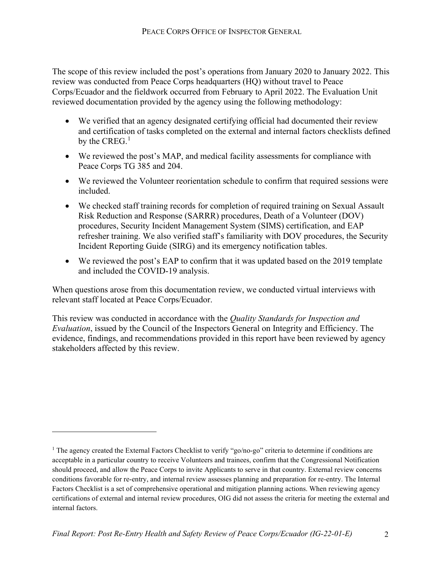The scope of this review included the post's operations from January 2020 to January 2022. This review was conducted from Peace Corps headquarters (HQ) without travel to Peace Corps/Ecuador and the fieldwork occurred from February to April 2022. The Evaluation Unit reviewed documentation provided by the agency using the following methodology:

- We verified that an agency designated certifying official had documented their review and certification of tasks completed on the external and internal factors checklists defined by the CREG.<sup>[1](#page-5-0)</sup>
- We reviewed the post's MAP, and medical facility assessments for compliance with Peace Corps TG 385 and 204.
- We reviewed the Volunteer reorientation schedule to confirm that required sessions were included.
- We checked staff training records for completion of required training on Sexual Assault Risk Reduction and Response (SARRR) procedures, Death of a Volunteer (DOV) procedures, Security Incident Management System (SIMS) certification, and EAP refresher training. We also verified staff's familiarity with DOV procedures, the Security Incident Reporting Guide (SIRG) and its emergency notification tables.
- We reviewed the post's EAP to confirm that it was updated based on the 2019 template and included the COVID-19 analysis.

When questions arose from this documentation review, we conducted virtual interviews with relevant staff located at Peace Corps/Ecuador.

This review was conducted in accordance with the *Quality Standards for Inspection and Evaluation*, issued by the Council of the Inspectors General on Integrity and Efficiency. The evidence, findings, and recommendations provided in this report have been reviewed by agency stakeholders affected by this review.

<span id="page-5-0"></span><sup>&</sup>lt;sup>1</sup> The agency created the External Factors Checklist to verify "go/no-go" criteria to determine if conditions are acceptable in a particular country to receive Volunteers and trainees, confirm that the Congressional Notification should proceed, and allow the Peace Corps to invite Applicants to serve in that country. External review concerns conditions favorable for re-entry, and internal review assesses planning and preparation for re-entry. The Internal Factors Checklist is a set of comprehensive operational and mitigation planning actions. When reviewing agency certifications of external and internal review procedures, OIG did not assess the criteria for meeting the external and internal factors.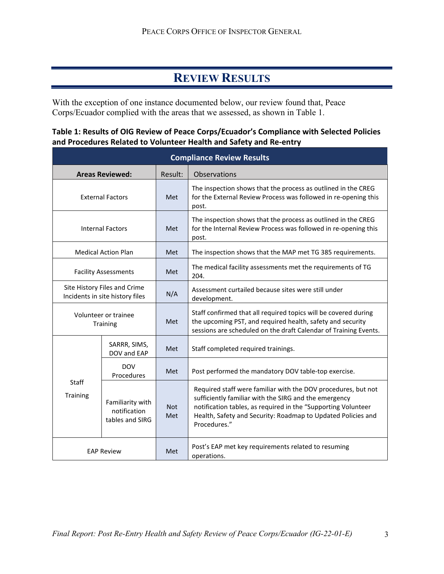### **REVIEW RESULTS**

<span id="page-6-0"></span>With the exception of one instance documented below, our review found that, Peace Corps/Ecuador complied with the areas that we assessed, as shown in Table 1.

### **Table 1: Results of OIG Review of Peace Corps/Ecuador's Compliance with Selected Policies and Procedures Related to Volunteer Health and Safety and Re-entry**

| <b>Compliance Review Results</b>                                |                                                     |                   |                                                                                                                                                                                                                                                                         |
|-----------------------------------------------------------------|-----------------------------------------------------|-------------------|-------------------------------------------------------------------------------------------------------------------------------------------------------------------------------------------------------------------------------------------------------------------------|
|                                                                 | <b>Areas Reviewed:</b>                              | Result:           | Observations                                                                                                                                                                                                                                                            |
| <b>External Factors</b>                                         |                                                     | <b>Met</b>        | The inspection shows that the process as outlined in the CREG<br>for the External Review Process was followed in re-opening this<br>post.                                                                                                                               |
| <b>Internal Factors</b>                                         |                                                     | Met               | The inspection shows that the process as outlined in the CREG<br>for the Internal Review Process was followed in re-opening this<br>post.                                                                                                                               |
| <b>Medical Action Plan</b>                                      |                                                     | Met               | The inspection shows that the MAP met TG 385 requirements.                                                                                                                                                                                                              |
| <b>Facility Assessments</b>                                     |                                                     | Met               | The medical facility assessments met the requirements of TG<br>204.                                                                                                                                                                                                     |
| Site History Files and Crime<br>Incidents in site history files |                                                     | N/A               | Assessment curtailed because sites were still under<br>development.                                                                                                                                                                                                     |
| Volunteer or trainee<br>Training                                |                                                     | Met               | Staff confirmed that all required topics will be covered during<br>the upcoming PST, and required health, safety and security<br>sessions are scheduled on the draft Calendar of Training Events.                                                                       |
|                                                                 | SARRR, SIMS,<br>DOV and EAP                         | Met               | Staff completed required trainings.                                                                                                                                                                                                                                     |
|                                                                 | <b>DOV</b><br>Procedures                            | Met               | Post performed the mandatory DOV table-top exercise.                                                                                                                                                                                                                    |
| Staff<br>Training                                               | Familiarity with<br>notification<br>tables and SIRG | <b>Not</b><br>Met | Required staff were familiar with the DOV procedures, but not<br>sufficiently familiar with the SIRG and the emergency<br>notification tables, as required in the "Supporting Volunteer<br>Health, Safety and Security: Roadmap to Updated Policies and<br>Procedures." |
| <b>EAP Review</b>                                               |                                                     | Met               | Post's EAP met key requirements related to resuming<br>operations.                                                                                                                                                                                                      |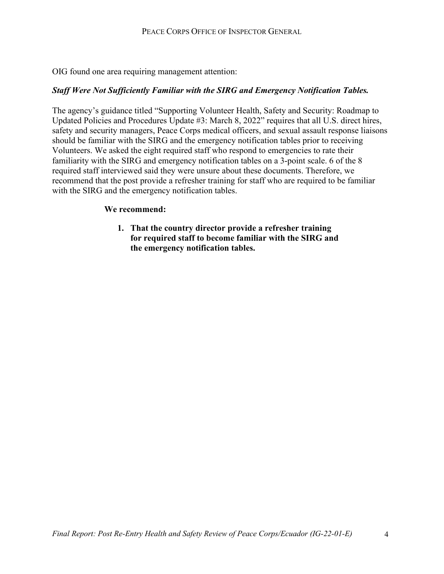OIG found one area requiring management attention:

#### *Staff Were Not Sufficiently Familiar with the SIRG and Emergency Notification Tables.*

The agency's guidance titled "Supporting Volunteer Health, Safety and Security: Roadmap to Updated Policies and Procedures Update #3: March 8, 2022" requires that all U.S. direct hires, safety and security managers, Peace Corps medical officers, and sexual assault response liaisons should be familiar with the SIRG and the emergency notification tables prior to receiving Volunteers. We asked the eight required staff who respond to emergencies to rate their familiarity with the SIRG and emergency notification tables on a 3-point scale. 6 of the 8 required staff interviewed said they were unsure about these documents. Therefore, we recommend that the post provide a refresher training for staff who are required to be familiar with the SIRG and the emergency notification tables.

#### **We recommend:**

**1. That the country director provide a refresher training for required staff to become familiar with the SIRG and the emergency notification tables.**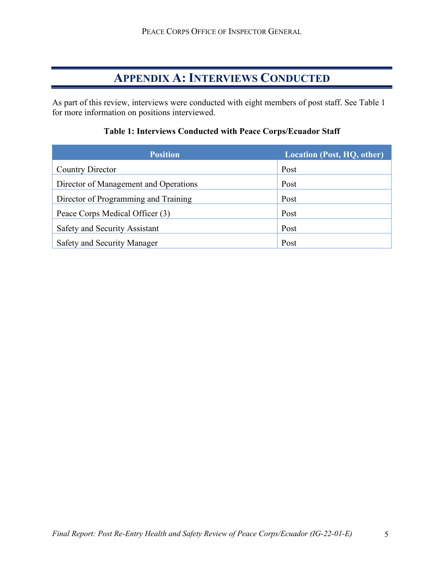### **APPENDIX A: INTERVIEWS CONDUCTED**

<span id="page-8-0"></span>As part of this review, interviews were conducted with eight members of post staff. See Table 1 for more information on positions interviewed.

| <b>Position</b>                       | <b>Location (Post, HQ, other)</b> |
|---------------------------------------|-----------------------------------|
| Country Director                      | Post                              |
| Director of Management and Operations | Post                              |
| Director of Programming and Training  | Post                              |
| Peace Corps Medical Officer (3)       | Post                              |
| Safety and Security Assistant         | Post                              |
| Safety and Security Manager           | Post                              |

### **Table 1: Interviews Conducted with Peace Corps/Ecuador Staff**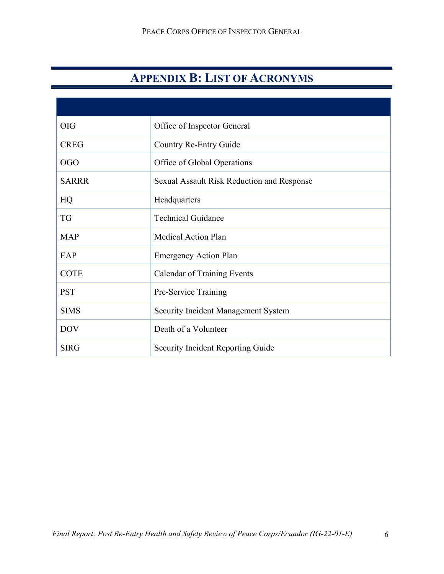### **APPENDIX B: LIST OF ACRONYMS**

<span id="page-9-0"></span>

| <b>OIG</b>   | Office of Inspector General                |
|--------------|--------------------------------------------|
| <b>CREG</b>  | Country Re-Entry Guide                     |
| <b>OGO</b>   | Office of Global Operations                |
| <b>SARRR</b> | Sexual Assault Risk Reduction and Response |
| HQ           | Headquarters                               |
| <b>TG</b>    | <b>Technical Guidance</b>                  |
| <b>MAP</b>   | <b>Medical Action Plan</b>                 |
| EAP          | <b>Emergency Action Plan</b>               |
| <b>COTE</b>  | <b>Calendar of Training Events</b>         |
| <b>PST</b>   | Pre-Service Training                       |
| <b>SIMS</b>  | <b>Security Incident Management System</b> |
| <b>DOV</b>   | Death of a Volunteer                       |
| <b>SIRG</b>  | Security Incident Reporting Guide          |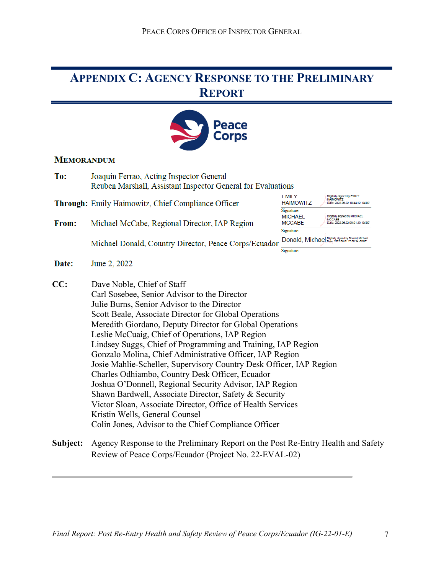### <span id="page-10-0"></span>**APPENDIX C: AGENCY RESPONSE TO THE PRELIMINARY REPORT**



#### **MEMORANDUM**

| To:          | Joaquin Ferrao, Acting Inspector General<br>Reuben Marshall, Assistant Inspector General for Evaluations                                                                                                                                                                                                                                                                                                                                                                                                                                                                                                                                                                                                                                                                                                                             |                                                     |                                                                                    |
|--------------|--------------------------------------------------------------------------------------------------------------------------------------------------------------------------------------------------------------------------------------------------------------------------------------------------------------------------------------------------------------------------------------------------------------------------------------------------------------------------------------------------------------------------------------------------------------------------------------------------------------------------------------------------------------------------------------------------------------------------------------------------------------------------------------------------------------------------------------|-----------------------------------------------------|------------------------------------------------------------------------------------|
|              | Through: Emily Haimowitz, Chief Compliance Officer                                                                                                                                                                                                                                                                                                                                                                                                                                                                                                                                                                                                                                                                                                                                                                                   | <b>EMILY</b><br><b>HAIMOWITZ</b>                    | Digitally signed by EMILY<br><b>HAIMOWITZ</b><br>Date: 2022.06.02 10:44:12 -04'00' |
| <b>From:</b> | Michael McCabe, Regional Director, IAP Region                                                                                                                                                                                                                                                                                                                                                                                                                                                                                                                                                                                                                                                                                                                                                                                        | Signature<br><b>MICHAEL</b><br><b>MCCABE</b>        | Digitally signed by MICHAEL<br>MCCABE<br>Date: 2022.05.02 09:01:29 -04'00          |
|              |                                                                                                                                                                                                                                                                                                                                                                                                                                                                                                                                                                                                                                                                                                                                                                                                                                      | Signature                                           |                                                                                    |
|              | Michael Donald, Country Director, Peace Corps/Ecuador                                                                                                                                                                                                                                                                                                                                                                                                                                                                                                                                                                                                                                                                                                                                                                                | Donald, Michael Digitally signed by Donald, Michael |                                                                                    |
|              |                                                                                                                                                                                                                                                                                                                                                                                                                                                                                                                                                                                                                                                                                                                                                                                                                                      | Signature                                           |                                                                                    |
| Date:        | June 2, 2022                                                                                                                                                                                                                                                                                                                                                                                                                                                                                                                                                                                                                                                                                                                                                                                                                         |                                                     |                                                                                    |
| CC:          | Dave Noble, Chief of Staff<br>Carl Sosebee, Senior Advisor to the Director<br>Julie Burns, Senior Advisor to the Director<br>Scott Beale, Associate Director for Global Operations<br>Meredith Giordano, Deputy Director for Global Operations<br>Leslie McCuaig, Chief of Operations, IAP Region<br>Lindsey Suggs, Chief of Programming and Training, IAP Region<br>Gonzalo Molina, Chief Administrative Officer, IAP Region<br>Josie Mahlie-Scheller, Supervisory Country Desk Officer, IAP Region<br>Charles Odhiambo, Country Desk Officer, Ecuador<br>Joshua O'Donnell, Regional Security Advisor, IAP Region<br>Shawn Bardwell, Associate Director, Safety & Security<br>Victor Sloan, Associate Director, Office of Health Services<br>Kristin Wells, General Counsel<br>Colin Jones, Advisor to the Chief Compliance Officer |                                                     |                                                                                    |
| Subiect•     | Agency Response to the Preliminary Report on the Post Re-Entry Health and Saf                                                                                                                                                                                                                                                                                                                                                                                                                                                                                                                                                                                                                                                                                                                                                        |                                                     |                                                                                    |

**Subject:** Agency Response to the Preliminary Report on the Post Re-Entry Health and Safety Review of Peace Corps/Ecuador (Project No. 22-EVAL-02)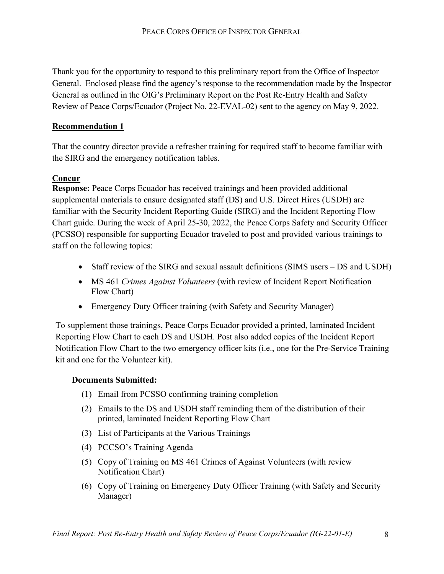Thank you for the opportunity to respond to this preliminary report from the Office of Inspector General. Enclosed please find the agency's response to the recommendation made by the Inspector General as outlined in the OIG's Preliminary Report on the Post Re-Entry Health and Safety Review of Peace Corps/Ecuador (Project No. 22-EVAL-02) sent to the agency on May 9, 2022.

#### **Recommendation 1**

That the country director provide a refresher training for required staff to become familiar with the SIRG and the emergency notification tables.

### **Concur**

**Response:** Peace Corps Ecuador has received trainings and been provided additional supplemental materials to ensure designated staff (DS) and U.S. Direct Hires (USDH) are familiar with the Security Incident Reporting Guide (SIRG) and the Incident Reporting Flow Chart guide. During the week of April 25-30, 2022, the Peace Corps Safety and Security Officer (PCSSO) responsible for supporting Ecuador traveled to post and provided various trainings to staff on the following topics:

- Staff review of the SIRG and sexual assault definitions (SIMS users DS and USDH)
- MS 461 *Crimes Against Volunteers* (with review of Incident Report Notification Flow Chart)
- Emergency Duty Officer training (with Safety and Security Manager)

To supplement those trainings, Peace Corps Ecuador provided a printed, laminated Incident Reporting Flow Chart to each DS and USDH. Post also added copies of the Incident Report Notification Flow Chart to the two emergency officer kits (i.e., one for the Pre-Service Training kit and one for the Volunteer kit).

#### **Documents Submitted:**

- (1) Email from PCSSO confirming training completion
- (2) Emails to the DS and USDH staff reminding them of the distribution of their printed, laminated Incident Reporting Flow Chart
- (3) List of Participants at the Various Trainings
- (4) PCCSO's Training Agenda
- (5) Copy of Training on MS 461 Crimes of Against Volunteers (with review Notification Chart)
- (6) Copy of Training on Emergency Duty Officer Training (with Safety and Security Manager)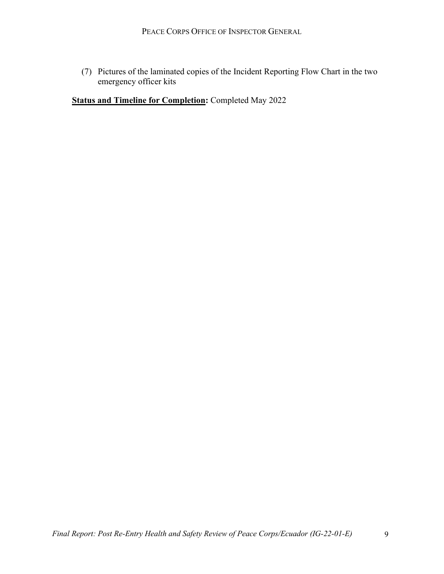(7) Pictures of the laminated copies of the Incident Reporting Flow Chart in the two emergency officer kits

<span id="page-12-0"></span>**Status and Timeline for Completion:** Completed May 2022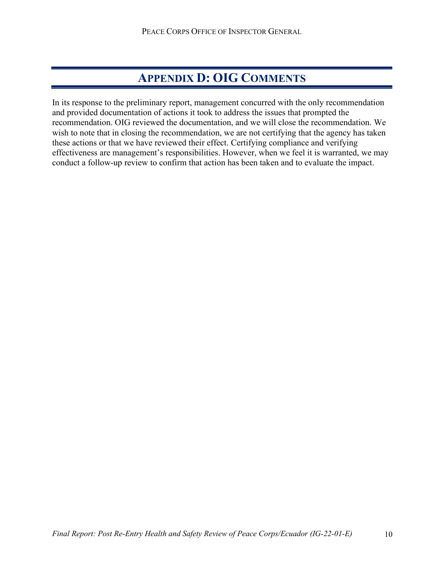### **APPENDIX D: OIG COMMENTS**

In its response to the preliminary report, management concurred with the only recommendation and provided documentation of actions it took to address the issues that prompted the recommendation. OIG reviewed the documentation, and we will close the recommendation. We wish to note that in closing the recommendation, we are not certifying that the agency has taken these actions or that we have reviewed their effect. Certifying compliance and verifying effectiveness are management's responsibilities. However, when we feel it is warranted, we may conduct a follow-up review to confirm that action has been taken and to evaluate the impact.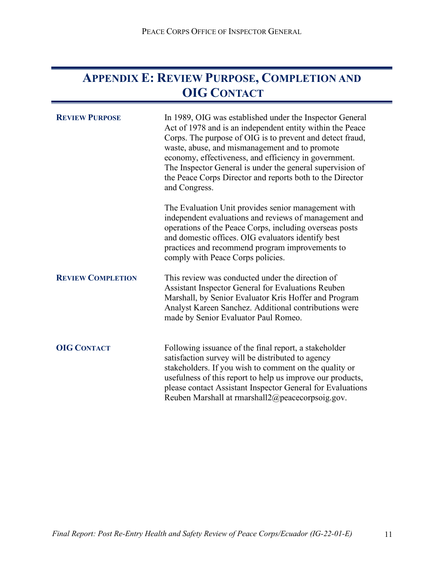### <span id="page-14-0"></span>**APPENDIX E: REVIEW PURPOSE, COMPLETION AND OIG CONTACT**

| <b>REVIEW PURPOSE</b>    | In 1989, OIG was established under the Inspector General<br>Act of 1978 and is an independent entity within the Peace<br>Corps. The purpose of OIG is to prevent and detect fraud,<br>waste, abuse, and mismanagement and to promote<br>economy, effectiveness, and efficiency in government.<br>The Inspector General is under the general supervision of<br>the Peace Corps Director and reports both to the Director<br>and Congress. |
|--------------------------|------------------------------------------------------------------------------------------------------------------------------------------------------------------------------------------------------------------------------------------------------------------------------------------------------------------------------------------------------------------------------------------------------------------------------------------|
|                          | The Evaluation Unit provides senior management with<br>independent evaluations and reviews of management and<br>operations of the Peace Corps, including overseas posts<br>and domestic offices. OIG evaluators identify best<br>practices and recommend program improvements to<br>comply with Peace Corps policies.                                                                                                                    |
| <b>REVIEW COMPLETION</b> | This review was conducted under the direction of<br>Assistant Inspector General for Evaluations Reuben<br>Marshall, by Senior Evaluator Kris Hoffer and Program<br>Analyst Kareen Sanchez. Additional contributions were<br>made by Senior Evaluator Paul Romeo.                                                                                                                                                                         |
| <b>OIG CONTACT</b>       | Following issuance of the final report, a stakeholder<br>satisfaction survey will be distributed to agency<br>stakeholders. If you wish to comment on the quality or<br>usefulness of this report to help us improve our products,<br>please contact Assistant Inspector General for Evaluations<br>Reuben Marshall at rmarshall2@peacecorpsoig.gov.                                                                                     |